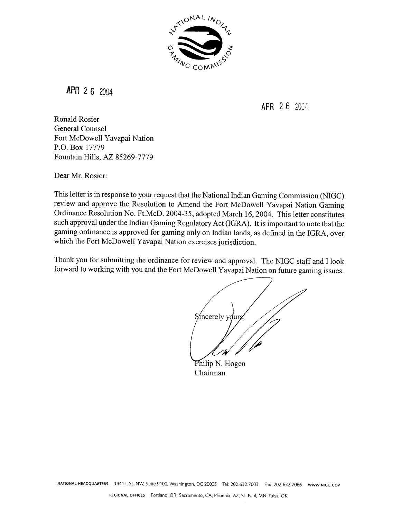

 $APR$  2 6 2004

APR 26 2004

Ronald Rosier General Counsel Fort McDowell Yavapai Nation P.O. Box 17779 Fountain Hills, **AZ** 85269-7779

Dear Mr. Rosier:

This letter is in response to your request that the National Indian Gaming Commission (NIGC) review and approve the Resolution to Amend the Fort McDowell Yavapai Nation Gaming Ordinance Resolution No. Ft.McD. 2004-35, adopted March 16,2004. This letter constitutes such approval under the Indian Gaming Regulatory Act (IGRA). It is important to note that the gaming ordinance is approved for gaming only on Indian lands, as defined in the IGRA, over which the Fort McDowell Yavapai Nation exercises jurisdiction.

Thank you for submitting the ordinance for review and approval. The NIGC staff and I look forward to working with you and the Fort McDowell Yavapai Nation on future gaming issues.

Sincerely your

Philip N. Hogen Chairman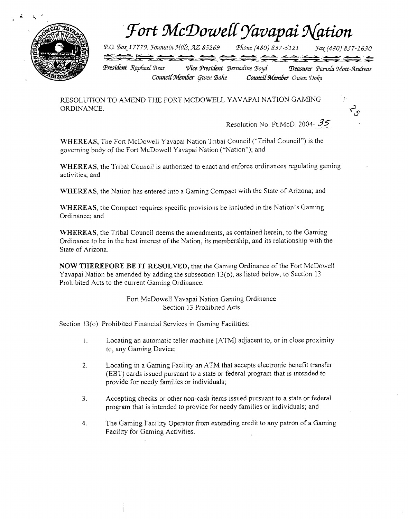

Fort McDowell Yavapai Nation

P.O. Box 17779, Fountain Hills, AZ 85269 Phone (480) 837-5121 Fax (480) 837-1630

<del>2000000</del> President Raphael Bear Vice President Bernadine Boyd Treasurer Pamela Mott-Andreas Council Member Owen Doka Council Member Gwen Bahe

RESOLUTION TO AMEND THE FORT MCDOWELL YAVAPAI NATION GAMING ORDINANCE.

Resolution No. Ft.McD. 2004-  $35$ 

 $\vec{r}_{5}$ 

WHEREAS, The Fort McDowell Yavapai Nation Tribal Council ("Tribal Council") is the governing body of the Fort McDowell Yavapai Nation ("Nation"); and

WHEREAS, the Tribal Council is authorized to enact and enforce ordinances regulating gaming activities; and

WHEREAS, the Nation has entered into a Gaming Compact with the State of Arizona; and

WHEREAS, the Compact requires specific provisions be included in the Nation's Gaming Ordinance; and

WHEREAS, the Tribal Council deems the amendments, as contained herein, to the Gaming Ordinance to be in the best interest of the Nation, its membership, and its relationship with the State of Arizona.

NOW THEREFORE BE IT RESOLVED, that the Gaming Ordinance of the Fort McDowell Yavapai Nation be amended by adding the subsection  $13(0)$ , as listed below, to Section 13 Prohibited Acts to the current Gaming Ordinance.

> Fort McDowell Yavapai Nation Gaming Ordinance Section 13 Prohibited Acts

Section 13(0) Prohibited Financial Services in Gaming Facilities:

- Locating an automatic teller machine (ATM) adjacent to, or in close proximity  $\mathbf{1}$ . to, any Gaming Device;
- $2.$ Locating in a Gaming Facility an ATM that accepts electronic benefit transfer (EBT) cards issued pursuant to a state or federal program that is intended to provide for needy families or individuals;
- Accepting checks or other non-cash items issued pursuant to a state or federal  $3<sub>1</sub>$ program that is intended to provide for needy families or individuals; and
- The Gaming Facility Operator from extending credit to any patron of a Gaming  $4.$ Facility for Gaming Activities.